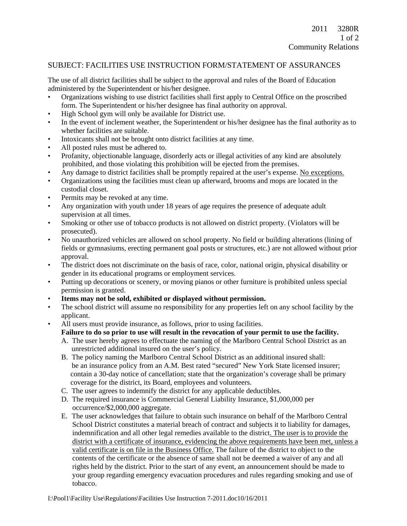## SUBJECT: FACILITIES USE INSTRUCTION FORM/STATEMENT OF ASSURANCES

The use of all district facilities shall be subject to the approval and rules of the Board of Education administered by the Superintendent or his/her designee.

- Organizations wishing to use district facilities shall first apply to Central Office on the proscribed form. The Superintendent or his/her designee has final authority on approval.
- High School gym will only be available for District use.
- In the event of inclement weather, the Superintendent or his/her designee has the final authority as to whether facilities are suitable.
- Intoxicants shall not be brought onto district facilities at any time.
- All posted rules must be adhered to.
- Profanity, objectionable language, disorderly acts or illegal activities of any kind are absolutely prohibited, and those violating this prohibition will be ejected from the premises.
- Any damage to district facilities shall be promptly repaired at the user's expense. No exceptions.
- Organizations using the facilities must clean up afterward, brooms and mops are located in the custodial closet.
- Permits may be revoked at any time.
- Any organization with youth under 18 years of age requires the presence of adequate adult supervision at all times.
- Smoking or other use of tobacco products is not allowed on district property. (Violators will be prosecuted).
- No unauthorized vehicles are allowed on school property. No field or building alterations (lining of fields or gymnasiums, erecting permanent goal posts or structures, etc.) are not allowed without prior approval.
- The district does not discriminate on the basis of race, color, national origin, physical disability or gender in its educational programs or employment services.
- Putting up decorations or scenery, or moving pianos or other furniture is prohibited unless special permission is granted.
- **Items may not be sold, exhibited or displayed without permission.**
- The school district will assume no responsibility for any properties left on any school facility by the applicant.
- All users must provide insurance, as follows, prior to using facilities.

## **Failure to do so prior to use will result in the revocation of your permit to use the facility.**

- A. The user hereby agrees to effectuate the naming of the Marlboro Central School District as an unrestricted additional insured on the user's policy.
- B. The policy naming the Marlboro Central School District as an additional insured shall: be an insurance policy from an A.M. Best rated "secured" New York State licensed insurer; contain a 30-day notice of cancellation; state that the organization's coverage shall be primary coverage for the district, its Board, employees and volunteers.
- C. The user agrees to indemnify the district for any applicable deductibles.
- D. The required insurance is Commercial General Liability Insurance, \$1,000,000 per occurrence/\$2,000,000 aggregate.
- E. The user acknowledges that failure to obtain such insurance on behalf of the Marlboro Central School District constitutes a material breach of contract and subjects it to liability for damages, indemnification and all other legal remedies available to the district. The user is to provide the district with a certificate of insurance, evidencing the above requirements have been met, unless a valid certificate is on file in the Business Office. The failure of the district to object to the contents of the certificate or the absence of same shall not be deemed a waiver of any and all rights held by the district. Prior to the start of any event, an announcement should be made to your group regarding emergency evacuation procedures and rules regarding smoking and use of tobacco.